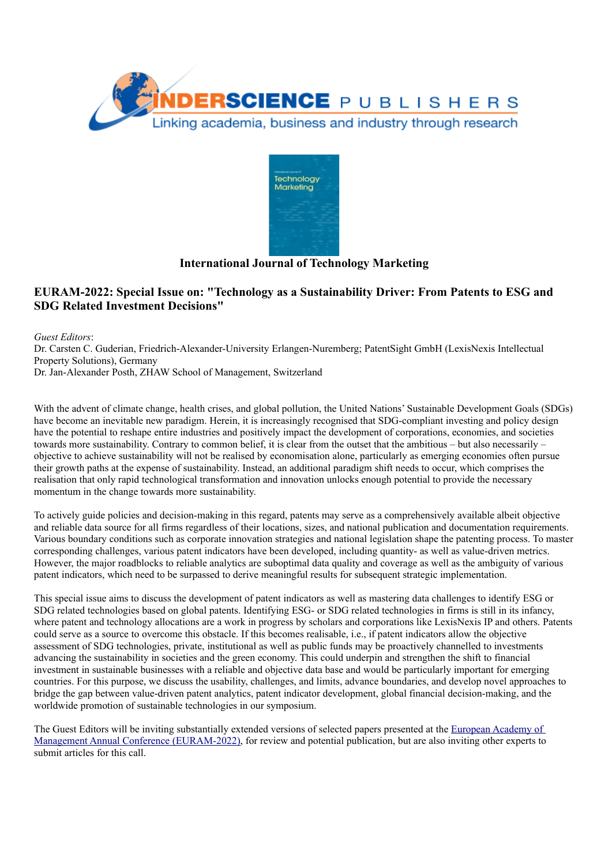



## **International Journal of Technology Marketing**

# **EURAM-2022: Special Issue on: "Technology as a Sustainability Driver: From Patents to ESG and SDG Related Investment Decisions"**

*Guest Editors*:

Dr. Carsten C. Guderian, Friedrich-Alexander-University Erlangen-Nuremberg; PatentSight GmbH (LexisNexis Intellectual Property Solutions), Germany Dr. Jan-Alexander Posth, ZHAW School of Management, Switzerland

With the advent of climate change, health crises, and global pollution, the United Nations'Sustainable Development Goals (SDGs) have become an inevitable new paradigm. Herein, it is increasingly recognised that SDG-compliant investing and policy design have the potential to reshape entire industries and positively impact the development of corporations, economies, and societies towards more sustainability. Contrary to common belief, it is clear from the outset that the ambitious – but also necessarily – objective to achieve sustainability will not be realised by economisation alone, particularly as emerging economies often pursue their growth paths at the expense of sustainability. Instead, an additional paradigm shift needs to occur, which comprises the realisation that only rapid technological transformation and innovation unlocks enough potential to provide the necessary momentum in the change towards more sustainability.

To actively guide policies and decision-making in this regard, patents may serve as a comprehensively available albeit objective and reliable data source for all firms regardless of their locations, sizes, and national publication and documentation requirements. Various boundary conditions such as corporate innovation strategies and national legislation shape the patenting process. To master corresponding challenges, various patent indicators have been developed, including quantity- as well as value-driven metrics. However, the major roadblocks to reliable analytics are suboptimal data quality and coverage as well as the ambiguity of various patent indicators, which need to be surpassed to derive meaningful results for subsequent strategic implementation.

This special issue aims to discuss the development of patent indicators as well as mastering data challenges to identify ESG or SDG related technologies based on global patents. Identifying ESG- or SDG related technologies in firms is still in its infancy, where patent and technology allocations are a work in progress by scholars and corporations like LexisNexis IP and others. Patents could serve as a source to overcome this obstacle. If this becomes realisable, i.e., if patent indicators allow the objective assessment of SDG technologies, private, institutional as well as public funds may be proactively channelled to investments advancing the sustainability in societies and the green economy. This could underpin and strengthen the shift to financial investment in sustainable businesses with a reliable and objective data base and would be particularly important for emerging countries. For this purpose, we discuss the usability, challenges, and limits, advance boundaries, and develop novel approaches to bridge the gap between value-driven patent analytics, patent indicator development, global financial decision-making, and the worldwide promotion of sustainable technologies in our symposium.

The Guest Editors will be inviting substantially extended versions of selected papers presented at the European [Academy](https://conferences.euram.academy/2022conference/) of Management Annual Conference [\(EURAM-2022\),](https://conferences.euram.academy/2022conference/) for review and potential publication, but are also inviting other experts to submit articles for this call.